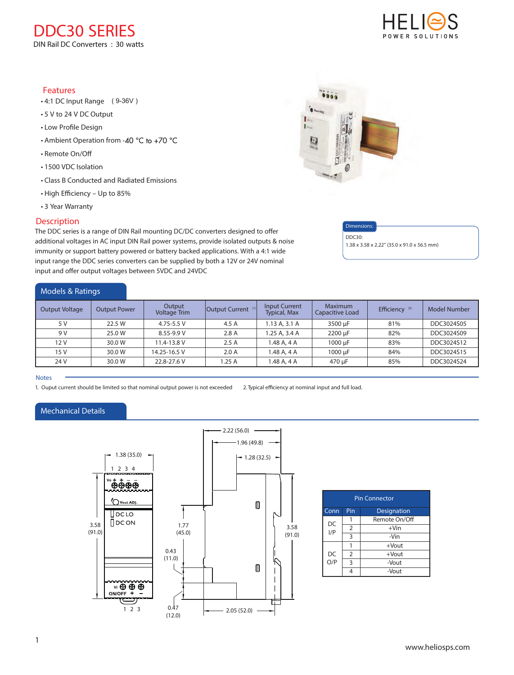### Features

- 4:1 DC Input Range ( 9-36V )
- **xxx Series** 5 V to 24 V DC Output
- Low Profile Design
- Ambient Operation from -40 °C to +70 °C
- Remote On/O
- 1500 VDC Isolation
- Class B Conducted and Radiated Emissions
- High Efficiency Up to 85%
- 3 Year Warranty

### **Description**

The DDC series is a range of DIN Rail mounting DC/DC converters designed to offer additional voltages in AC input DIN Rail power systems, provide isolated outputs & noise immunity or support battery powered or battery backed applications. With a 4:1 wide input range the DDC series converters can be supplied by both a 12V or 24V nominal input and offer output voltages between 5VDC and 24VDC

| Models & Ratings      |                     |                               |                               |                                      |                            |                           |              |
|-----------------------|---------------------|-------------------------------|-------------------------------|--------------------------------------|----------------------------|---------------------------|--------------|
| <b>Output Voltage</b> | <b>Output Power</b> | Output<br><b>Voltage Trim</b> | Output Current <sup>(1)</sup> | Input Current<br><b>Typical, Max</b> | Maximum<br>Capacitive Load | Efficiency <sup>(2)</sup> | Model Number |
| 5 V                   | 22.5 W              | 4.75-5.5 V                    | 4.5 A                         | 1.13A.3.1A                           | 3500 uF                    | 81%                       | DDC3024S05   |
| 9 V                   | 25.0 W              | 8.55-9.9 V                    | 2.8A                          | 1.25 A, 3.4 A                        | 2200 µF                    | 82%                       | DDC3024S09   |
| 12 V                  | 30.0 W              | 11.4-13.8 V                   | 2.5A                          | 1.48 A, 4 A                          | 1000 µF                    | 83%                       | DDC3024S12   |
| 15 V                  | 30.0 W              | 14.25-16.5 V                  | 2.0A                          | 1.48 A, 4 A                          | 1000 µF                    | 84%                       | DDC3024S15   |
| 24 V                  | 30.0 W              | 22.8-27.6 V                   | .25A                          | 1.48 A, 4 A                          | 470 µF                     | 85%                       | DDC3024S24   |

### **Notes**

1. Ouput current should be limited so that nominal output power is not exceeded 2. Typical efficiency at nominal input and full load.

### Mechanical Details



| <b>Pin Connector</b> |                |               |  |  |  |
|----------------------|----------------|---------------|--|--|--|
| Conn                 | Pin            | Designation   |  |  |  |
| DC<br>I/P            |                | Remote On/Off |  |  |  |
|                      | $\overline{2}$ | $+V$ in       |  |  |  |
|                      | 3              | -Vin          |  |  |  |
| DC<br>O/P            |                | $+$ Vout      |  |  |  |
|                      | $\overline{2}$ | $+$ Vout      |  |  |  |
|                      | 3              | -Vout         |  |  |  |
|                      |                | -Vout         |  |  |  |



Dimensions: DDC30:

1.38 x 3.58 x 2.22" (35.0 x 91.0 x 56.5 mm)

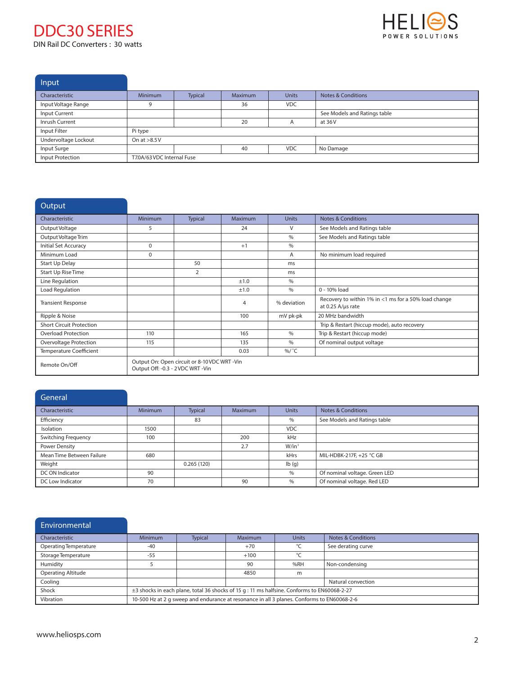

**Input** 

| $\mathbf{u}$         |                            |         |                |              |                               |
|----------------------|----------------------------|---------|----------------|--------------|-------------------------------|
| Characteristic       | <b>Minimum</b>             | Typical | <b>Maximum</b> | <b>Units</b> | <b>Notes &amp; Conditions</b> |
| Input Voltage Range  |                            |         | 36             | <b>VDC</b>   |                               |
| Input Current        |                            |         |                |              | See Models and Ratings table  |
| Inrush Current       |                            |         | 20             |              | at 36V                        |
| Input Filter         | Pi type                    |         |                |              |                               |
| Undervoltage Lockout | On at $>8.5V$              |         |                |              |                               |
| Input Surge          |                            |         | 40             | <b>VDC</b>   | No Damage                     |
| Input Protection     | T7.0A/63 VDC Internal Fuse |         |                |              |                               |
|                      |                            |         |                |              |                               |

| Output                          |                                   |                                               |                |               |                                                                           |
|---------------------------------|-----------------------------------|-----------------------------------------------|----------------|---------------|---------------------------------------------------------------------------|
| Characteristic                  | Minimum                           | <b>Typical</b>                                | <b>Maximum</b> | <b>Units</b>  | <b>Notes &amp; Conditions</b>                                             |
| Output Voltage                  | 5                                 |                                               | 24             | $\vee$        | See Models and Ratings table                                              |
| Output Voltage Trim             |                                   |                                               |                | $\frac{0}{0}$ | See Models and Ratings table                                              |
| Initial Set Accuracy            | $\Omega$                          |                                               | $+1$           | $\%$          |                                                                           |
| Minimum Load                    | $\Omega$                          |                                               |                | A             | No minimum load required                                                  |
| Start Up Delay                  |                                   | 50                                            |                | ms            |                                                                           |
| <b>Start Up Rise Time</b>       |                                   | $\overline{2}$                                |                | ms            |                                                                           |
| Line Regulation                 |                                   |                                               | ±1.0           | $\%$          |                                                                           |
| Load Regulation                 |                                   |                                               | ±1.0           | $\frac{0}{0}$ | 0 - 10% load                                                              |
| <b>Transient Response</b>       |                                   |                                               | 4              | % deviation   | Recovery to within 1% in <1 ms for a 50% load change<br>at 0.25 A/µs rate |
| Ripple & Noise                  |                                   |                                               | 100            | mV pk-pk      | 20 MHz bandwidth                                                          |
| <b>Short Circuit Protection</b> |                                   |                                               |                |               | Trip & Restart (hiccup mode), auto recovery                               |
| <b>Overload Protection</b>      | 110                               |                                               | 165            | $\%$          | Trip & Restart (hiccup mode)                                              |
| Overvoltage Protection          | 115                               |                                               | 135            | $\%$          | Of nominal output voltage                                                 |
| <b>Temperature Coefficient</b>  |                                   |                                               | 0.03           | %/ °C         |                                                                           |
| Remote On/Off                   | Output Off: -0.3 - 2 VDC WRT -Vin | Output On: Open circuit or 8-10 VDC WRT - Vin |                |               |                                                                           |

| General                   |                |            |                |              |                               |
|---------------------------|----------------|------------|----------------|--------------|-------------------------------|
| Characteristic            | <b>Minimum</b> | Typical    | <b>Maximum</b> | <b>Units</b> | <b>Notes &amp; Conditions</b> |
| Efficiency                |                | 83         |                | $\%$         | See Models and Ratings table  |
| Isolation                 | 1500           |            |                | <b>VDC</b>   |                               |
| Switching Frequency       | 100            |            | 200            | kHz          |                               |
| Power Density             |                |            | 2.7            | $W/in^3$     |                               |
| Mean Time Between Failure | 680            |            |                | kHrs         | MIL-HDBK-217F, +25 °C GB      |
| Weight                    |                | 0.265(120) |                | lb(g)        |                               |
| DC ON Indicator           | 90             |            |                | $\%$         | Of nominal voltage. Green LED |
| DC Low Indicator          | 70             |            | 90             | $\%$         | Of nominal voltage. Red LED   |

| Environmental             |                                                                                             |                |                |              |                               |
|---------------------------|---------------------------------------------------------------------------------------------|----------------|----------------|--------------|-------------------------------|
| Characteristic            | <b>Minimum</b>                                                                              | <b>Typical</b> | <b>Maximum</b> | <b>Units</b> | <b>Notes &amp; Conditions</b> |
| Operating Temperature     | $-40$                                                                                       |                | $+70$          | °C           | See derating curve            |
| Storage Temperature       | $-55$                                                                                       |                | $+100$         | °C           |                               |
| Humidity                  |                                                                                             |                | 90             | %RH          | Non-condensing                |
| <b>Operating Altitude</b> |                                                                                             |                | 4850           | m            |                               |
| Cooling                   |                                                                                             |                |                |              | Natural convection            |
| Shock                     | ±3 shocks in each plane, total 36 shocks of 15 g : 11 ms halfsine. Conforms to EN60068-2-27 |                |                |              |                               |
| Vibration                 | 10-500 Hz at 2 g sweep and endurance at resonance in all 3 planes. Conforms to EN60068-2-6  |                |                |              |                               |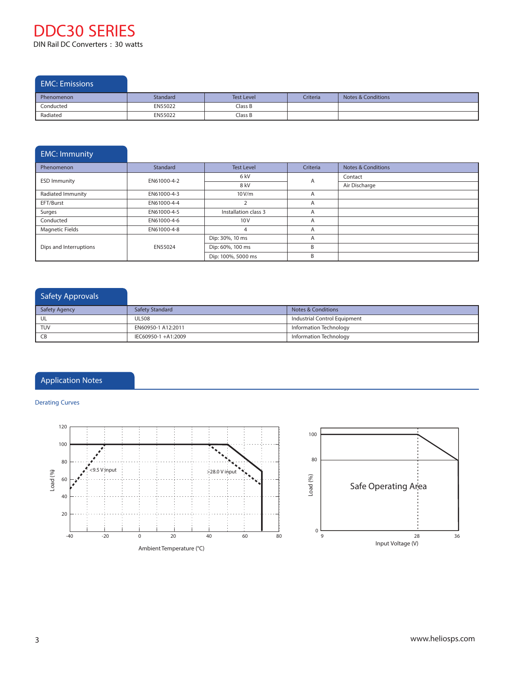## EMC: Emissions

| Phenomenon | Standard | <b>Test Level</b> | Criteria | <b>Notes &amp; Conditions</b> |
|------------|----------|-------------------|----------|-------------------------------|
| Conducted  | EN55022  | Class B           |          |                               |
| Radiated   | EN55022  | $\cap$ lass B     |          |                               |

# EMC: Immunity Phenomenon **Standard Test Level Criteria** Notes & Conditions

| <b>ESD Immunity</b>    | 6 kV<br>EN61000-4-2 |                      | $\overline{A}$ | Contact       |
|------------------------|---------------------|----------------------|----------------|---------------|
|                        |                     | 8 kV                 |                | Air Discharge |
| Radiated Immunity      | EN61000-4-3         | 10V/m                | $\overline{A}$ |               |
| EFT/Burst              | EN61000-4-4         |                      | $\overline{A}$ |               |
| Surges                 | EN61000-4-5         | Installation class 3 | $\overline{A}$ |               |
| Conducted              | EN61000-4-6         | 10V                  | A              |               |
| <b>Magnetic Fields</b> | EN61000-4-8         |                      | $\overline{A}$ |               |
|                        |                     | Dip: 30%, 10 ms      | $\overline{A}$ |               |
| Dips and Interruptions | EN55024             | Dip: 60%, 100 ms     | B              |               |
|                        |                     | Dip: 100%, 5000 ms   | B              |               |

## Safety Approvals **Safety Agency** Safety Standard **Notes & Conditions** UL UL508 Industrial Control Equipment TUV EN60950-1 A12:2011 Information Technology CB IEC60950-1 +A1:2009 Information Technology

## Application Notes

### **Derating Curves**